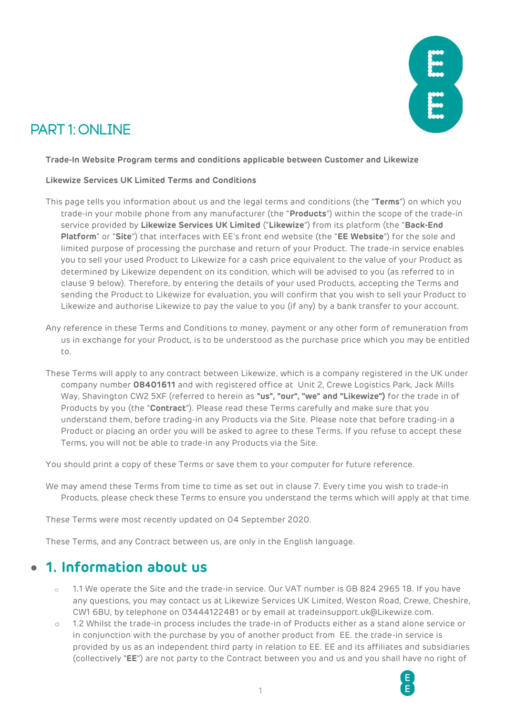

# PART 1: ONLINE

#### **Trade-In Website Program terms and conditions applicable between Customer and Likewize**

#### **Likewize Services UK Limited Terms and Conditions**

- This page tells you information about us and the legal terms and conditions (the "**Terms**") on which you trade-in your mobile phone from any manufacturer (the "**Products**") within the scope of the trade-in service provided by **Likewize Services UK Limited** ("**Likewize**") from its platform (the "**Back-End Platform**" or "**Site**") that interfaces with EE's front end website (the "**EE Website**") for the sole and limited purpose of processing the purchase and return of your Product. The trade-in service enables you to sell your used Product to Likewize for a cash price equivalent to the value of your Product as determined by Likewize dependent on its condition, which will be advised to you (as referred to in clause 9 below). Therefore, by entering the details of your used Products, accepting the Terms and sending the Product to Likewize for evaluation, you will confirm that you wish to sell your Product to Likewize and authorise Likewize to pay the value to you (if any) by a bank transfer to your account.
- Any reference in these Terms and Conditions to money, payment or any other form of remuneration from us in exchange for your Product, is to be understood as the purchase price which you may be entitled to.
- These Terms will apply to any contract between Likewize, which is a company registered in the UK under company number **08401611** and with registered office at Unit 2, Crewe Logistics Park, Jack Mills Way, Shavington CW2 5XF (referred to herein as **"us", "our", "we" and "Likewize")** for the trade in of Products by you (the "**Contract**"). Please read these Terms carefully and make sure that you understand them, before trading-in any Products via the Site. Please note that before trading-in a Product or placing an order you will be asked to agree to these Terms. If you refuse to accept these Terms, you will not be able to trade-in any Products via the Site.

You should print a copy of these Terms or save them to your computer for future reference.

We may amend these Terms from time to time as set out in clause 7. Every time you wish to trade-in Products, please check these Terms to ensure you understand the terms which will apply at that time.

These Terms were most recently updated on 04 September 2020.

These Terms, and any Contract between us, are only in the English language.

### • **1. Information about us**

- 1.1 We operate the Site and the trade-in service. Our VAT number is GB 824 2965 18. If you have any questions, you may contact us at Likewize Services UK Limited, Weston Road, Crewe, Cheshire, CW1 6BU, by telephone on 03444122481 or by email at tradeinsupport.uk@Likewize.com.
- 1.2 Whilst the trade-in process includes the trade-in of Products either as a stand alone service or in conjunction with the purchase by you of another product from EE. the trade-in service is provided by us as an independent third party in relation to EE. EE and its affiliates and subsidiaries (collectively "**EE**") are not party to the Contract between you and us and you shall have no right of

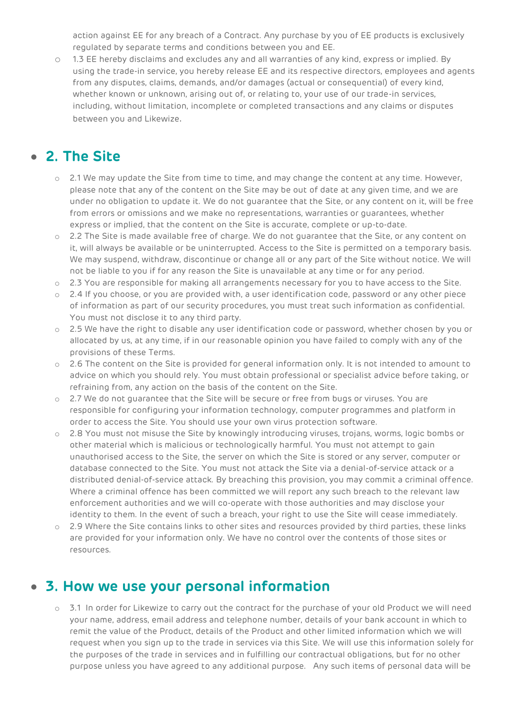action against EE for any breach of a Contract. Any purchase by you of EE products is exclusively regulated by separate terms and conditions between you and EE.

o 1.3 EE hereby disclaims and excludes any and all warranties of any kind, express or implied. By using the trade-in service, you hereby release EE and its respective directors, employees and agents from any disputes, claims, demands, and/or damages (actual or consequential) of every kind, whether known or unknown, arising out of, or relating to, your use of our trade-in services, including, without limitation, incomplete or completed transactions and any claims or disputes between you and Likewize.

## • **2. The Site**

- o 2.1 We may update the Site from time to time, and may change the content at any time. However, please note that any of the content on the Site may be out of date at any given time, and we are under no obligation to update it. We do not guarantee that the Site, or any content on it, will be free from errors or omissions and we make no representations, warranties or guarantees, whether express or implied, that the content on the Site is accurate, complete or up-to-date.
- o 2.2 The Site is made available free of charge. We do not guarantee that the Site, or any content on it, will always be available or be uninterrupted. Access to the Site is permitted on a temporary basis. We may suspend, withdraw, discontinue or change all or any part of the Site without notice. We will not be liable to you if for any reason the Site is unavailable at any time or for any period.
- o 2.3 You are responsible for making all arrangements necessary for you to have access to the Site.
- $\circ$  2.4 If you choose, or you are provided with, a user identification code, password or any other piece of information as part of our security procedures, you must treat such information as confidential. You must not disclose it to any third party.
- o 2.5 We have the right to disable any user identification code or password, whether chosen by you or allocated by us, at any time, if in our reasonable opinion you have failed to comply with any of the provisions of these Terms.
- o 2.6 The content on the Site is provided for general information only. It is not intended to amount to advice on which you should rely. You must obtain professional or specialist advice before taking, or refraining from, any action on the basis of the content on the Site.
- o 2.7 We do not guarantee that the Site will be secure or free from bugs or viruses. You are responsible for configuring your information technology, computer programmes and platform in order to access the Site. You should use your own virus protection software.
- o 2.8 You must not misuse the Site by knowingly introducing viruses, trojans, worms, logic bombs or other material which is malicious or technologically harmful. You must not attempt to gain unauthorised access to the Site, the server on which the Site is stored or any server, computer or database connected to the Site. You must not attack the Site via a denial-of-service attack or a distributed denial-of-service attack. By breaching this provision, you may commit a criminal offence. Where a criminal offence has been committed we will report any such breach to the relevant law enforcement authorities and we will co-operate with those authorities and may disclose your identity to them. In the event of such a breach, your right to use the Site will cease immediately.
- $\circ$  2.9 Where the Site contains links to other sites and resources provided by third parties, these links are provided for your information only. We have no control over the contents of those sites or resources.

### • **3. How we use your personal information**

o 3.1 In order for Likewize to carry out the contract for the purchase of your old Product we will need your name, address, email address and telephone number, details of your bank account in which to remit the value of the Product, details of the Product and other limited information which we will request when you sign up to the trade in services via this Site. We will use this information solely for the purposes of the trade in services and in fulfilling our contractual obligations, but for no other purpose unless you have agreed to any additional purpose. Any such items of personal data will be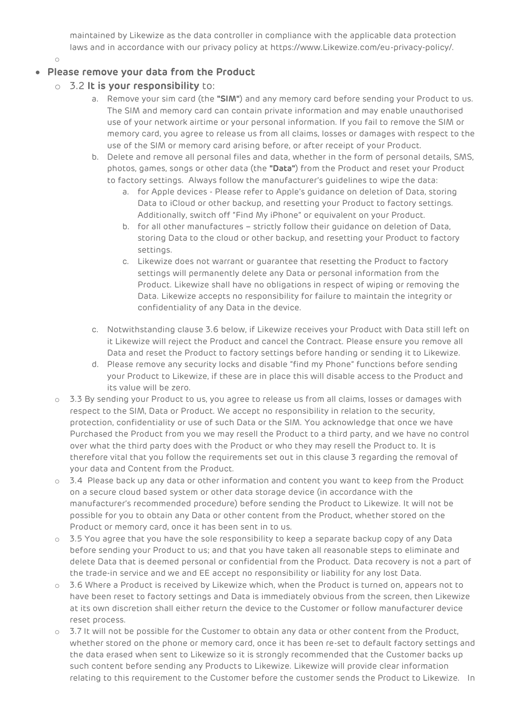maintained by Likewize as the data controller in compliance with the applicable data protection laws and in accordance with our privacy policy at https://www.Likewize.com/eu-privacy-policy/.

o

#### • **Please remove your data from the Product**

- o 3.2 **It is your responsibility** to:
	- a. Remove your sim card (the **"SIM"**) and any memory card before sending your Product to us. The SIM and memory card can contain private information and may enable unauthorised use of your network airtime or your personal information. If you fail to remove the SIM or memory card, you agree to release us from all claims, losses or damages with respect to the use of the SIM or memory card arising before, or after receipt of your Product.
	- b. Delete and remove all personal files and data, whether in the form of personal details, SMS, photos, games, songs or other data (the **"Data"**) from the Product and reset your Product to factory settings. Always follow the manufacturer's guidelines to wipe the data:
		- a. for Apple devices Please refer to Apple's guidance on deletion of Data, storing Data to iCloud or other backup, and resetting your Product to factory settings. Additionally, switch off "Find My iPhone" or equivalent on your Product.
		- b. for all other manufactures strictly follow their guidance on deletion of Data, storing Data to the cloud or other backup, and resetting your Product to factory settings.
		- c. Likewize does not warrant or guarantee that resetting the Product to factory settings will permanently delete any Data or personal information from the Product. Likewize shall have no obligations in respect of wiping or removing the Data. Likewize accepts no responsibility for failure to maintain the integrity or confidentiality of any Data in the device.
	- c. Notwithstanding clause 3.6 below, if Likewize receives your Product with Data still left on it Likewize will reject the Product and cancel the Contract. Please ensure you remove all Data and reset the Product to factory settings before handing or sending it to Likewize.
	- d. Please remove any security locks and disable "find my Phone" functions before sending your Product to Likewize, if these are in place this will disable access to the Product and its value will be zero.
- $\circ$  3.3 By sending your Product to us, you agree to release us from all claims, losses or damages with respect to the SIM, Data or Product. We accept no responsibility in relation to the security, protection, confidentiality or use of such Data or the SIM. You acknowledge that once we have Purchased the Product from you we may resell the Product to a third party, and we have no control over what the third party does with the Product or who they may resell the Product to. It is therefore vital that you follow the requirements set out in this clause 3 regarding the removal of your data and Content from the Product.
- o 3.4 Please back up any data or other information and content you want to keep from the Product on a secure cloud based system or other data storage device (in accordance with the manufacturer's recommended procedure) before sending the Product to Likewize. It will not be possible for you to obtain any Data or other content from the Product, whether stored on the Product or memory card, once it has been sent in to us.
- $\circ$  3.5 You agree that you have the sole responsibility to keep a separate backup copy of any Data before sending your Product to us; and that you have taken all reasonable steps to eliminate and delete Data that is deemed personal or confidential from the Product. Data recovery is not a part of the trade-in service and we and EE accept no responsibility or liability for any lost Data.
- o 3.6 Where a Product is received by Likewize which, when the Product is turned on, appears not to have been reset to factory settings and Data is immediately obvious from the screen, then Likewize at its own discretion shall either return the device to the Customer or follow manufacturer device reset process.
- o 3.7 It will not be possible for the Customer to obtain any data or other content from the Product, whether stored on the phone or memory card, once it has been re-set to default factory settings and the data erased when sent to Likewize so it is strongly recommended that the Customer backs up such content before sending any Products to Likewize. Likewize will provide clear information relating to this requirement to the Customer before the customer sends the Product to Likewize. In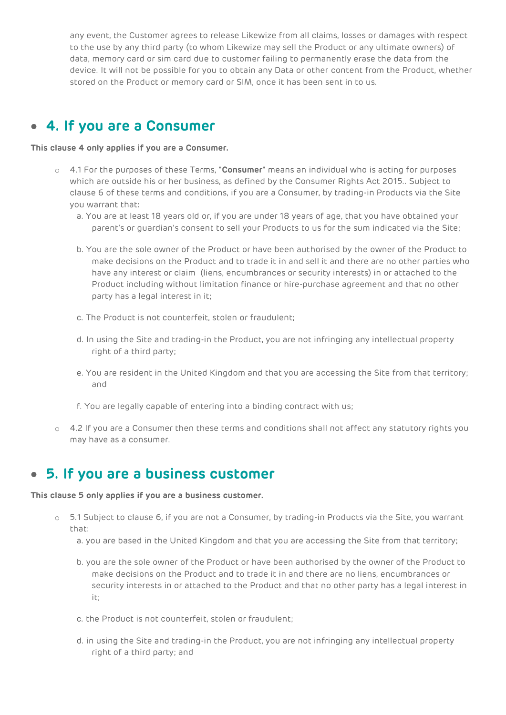any event, the Customer agrees to release Likewize from all claims, losses or damages with respect to the use by any third party (to whom Likewize may sell the Product or any ultimate owners) of data, memory card or sim card due to customer failing to permanently erase the data from the device. It will not be possible for you to obtain any Data or other content from the Product, whether stored on the Product or memory card or SIM, once it has been sent in to us.

#### • **4. If you are a Consumer**

#### **This clause 4 only applies if you are a Consumer.**

- o 4.1 For the purposes of these Terms, "**Consumer**" means an individual who is acting for purposes which are outside his or her business, as defined by the Consumer Rights Act 2015.. Subject to clause 6 of these terms and conditions, if you are a Consumer, by trading-in Products via the Site you warrant that:
	- a. You are at least 18 years old or, if you are under 18 years of age, that you have obtained your parent's or guardian's consent to sell your Products to us for the sum indicated via the Site;
	- b. You are the sole owner of the Product or have been authorised by the owner of the Product to make decisions on the Product and to trade it in and sell it and there are no other parties who have any interest or claim (liens, encumbrances or security interests) in or attached to the Product including without limitation finance or hire-purchase agreement and that no other party has a legal interest in it;
	- c. The Product is not counterfeit, stolen or fraudulent;
	- d. In using the Site and trading-in the Product, you are not infringing any intellectual property right of a third party;
	- e. You are resident in the United Kingdom and that you are accessing the Site from that territory; and
	- f. You are legally capable of entering into a binding contract with us;
- o 4.2 If you are a Consumer then these terms and conditions shall not affect any statutory rights you may have as a consumer.

### • **5. If you are a business customer**

#### **This clause 5 only applies if you are a business customer.**

- o 5.1 Subject to clause 6, if you are not a Consumer, by trading-in Products via the Site, you warrant that:
	- a. you are based in the United Kingdom and that you are accessing the Site from that territory;
	- b. you are the sole owner of the Product or have been authorised by the owner of the Product to make decisions on the Product and to trade it in and there are no liens, encumbrances or security interests in or attached to the Product and that no other party has a legal interest in it;
	- c. the Product is not counterfeit, stolen or fraudulent;
	- d. in using the Site and trading-in the Product, you are not infringing any intellectual property right of a third party; and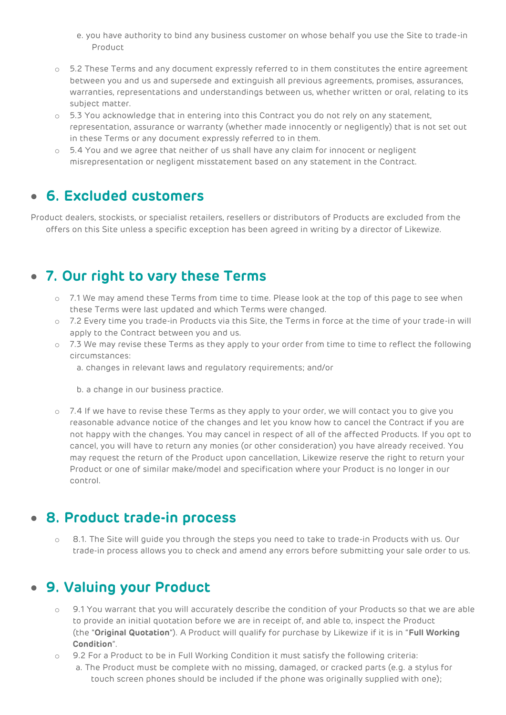- e. you have authority to bind any business customer on whose behalf you use the Site to trade-in Product
- o 5.2 These Terms and any document expressly referred to in them constitutes the entire agreement between you and us and supersede and extinguish all previous agreements, promises, assurances, warranties, representations and understandings between us, whether written or oral, relating to its subject matter.
- o 5.3 You acknowledge that in entering into this Contract you do not rely on any statement, representation, assurance or warranty (whether made innocently or negligently) that is not set out in these Terms or any document expressly referred to in them.
- $\circ$  5.4 You and we agree that neither of us shall have any claim for innocent or negligent misrepresentation or negligent misstatement based on any statement in the Contract.

### • **6. Excluded customers**

Product dealers, stockists, or specialist retailers, resellers or distributors of Products are excluded from the offers on this Site unless a specific exception has been agreed in writing by a director of Likewize.

### • **7. Our right to vary these Terms**

- $\circ$  7.1 We may amend these Terms from time to time. Please look at the top of this page to see when these Terms were last updated and which Terms were changed.
- o 7.2 Every time you trade-in Products via this Site, the Terms in force at the time of your trade-in will apply to the Contract between you and us.
- o 7.3 We may revise these Terms as they apply to your order from time to time to reflect the following circumstances:
	- a. changes in relevant laws and regulatory requirements; and/or
	- b. a change in our business practice.
- $\circ$  7.4 If we have to revise these Terms as they apply to your order, we will contact you to give you reasonable advance notice of the changes and let you know how to cancel the Contract if you are not happy with the changes. You may cancel in respect of all of the affected Products. If you opt to cancel, you will have to return any monies (or other consideration) you have already received. You may request the return of the Product upon cancellation, Likewize reserve the right to return your Product or one of similar make/model and specification where your Product is no longer in our control.

## • **8. Product trade-in process**

o 8.1. The Site will guide you through the steps you need to take to trade-in Products with us. Our trade-in process allows you to check and amend any errors before submitting your sale order to us.

### • **9. Valuing your Product**

- 9.1 You warrant that you will accurately describe the condition of your Products so that we are able to provide an initial quotation before we are in receipt of, and able to, inspect the Product (the "**Original Quotation**"). A Product will qualify for purchase by Likewize if it is in "**Full Working Condition**".
- o 9.2 For a Product to be in Full Working Condition it must satisfy the following criteria:
	- a. The Product must be complete with no missing, damaged, or cracked parts (e.g. a stylus for touch screen phones should be included if the phone was originally supplied with one);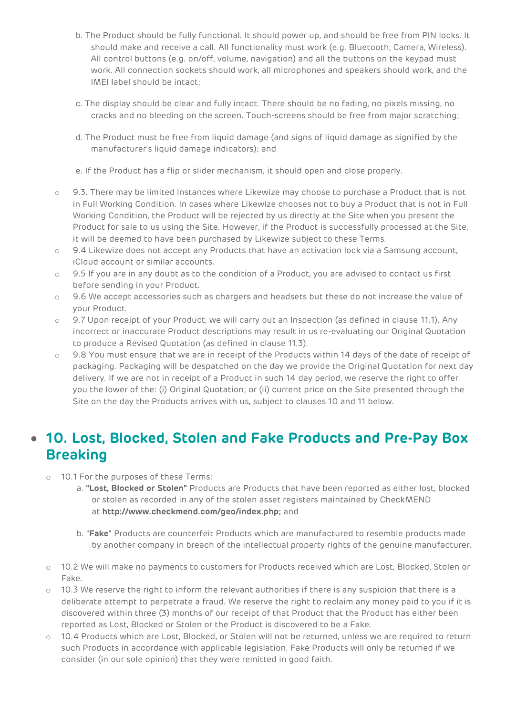- b. The Product should be fully functional. It should power up, and should be free from PIN locks. It should make and receive a call. All functionality must work (e.g. Bluetooth, Camera, Wireless). All control buttons (e.g. on/off, volume, navigation) and all the buttons on the keypad must work. All connection sockets should work, all microphones and speakers should work, and the IMEI label should be intact;
- c. The display should be clear and fully intact. There should be no fading, no pixels missing, no cracks and no bleeding on the screen. Touch-screens should be free from major scratching;
- d. The Product must be free from liquid damage (and signs of liquid damage as signified by the manufacturer's liquid damage indicators); and
- e. If the Product has a flip or slider mechanism, it should open and close properly.
- o 9.3. There may be limited instances where Likewize may choose to purchase a Product that is not in Full Working Condition. In cases where Likewize chooses not to buy a Product that is not in Full Working Condition, the Product will be rejected by us directly at the Site when you present the Product for sale to us using the Site. However, if the Product is successfully processed at the Site, it will be deemed to have been purchased by Likewize subject to these Terms.
- o 9.4 Likewize does not accept any Products that have an activation lock via a Samsung account, iCloud account or similar accounts.
- o 9.5 If you are in any doubt as to the condition of a Product, you are advised to contact us first before sending in your Product.
- o 9.6 We accept accessories such as chargers and headsets but these do not increase the value of your Product.
- o 9.7 Upon receipt of your Product, we will carry out an Inspection (as defined in clause 11.1). Any incorrect or inaccurate Product descriptions may result in us re-evaluating our Original Quotation to produce a Revised Quotation (as defined in clause 11.3).
- $\circ$  9.8 You must ensure that we are in receipt of the Products within 14 days of the date of receipt of packaging. Packaging will be despatched on the day we provide the Original Quotation for next day delivery. If we are not in receipt of a Product in such 14 day period, we reserve the right to offer you the lower of the: (i) Original Quotation; or (ii) current price on the Site presented through the Site on the day the Products arrives with us, subject to clauses 10 and 11 below.

## • **10. Lost, Blocked, Stolen and Fake Products and Pre-Pay Box Breaking**

- o 10.1 For the purposes of these Terms:
	- a. **"Lost, Blocked or Stolen"** Products are Products that have been reported as either lost, blocked or stolen as recorded in any of the stolen asset registers maintained by CheckMEND at **http://www.checkmend.com/geo/index.php;** and
	- b. "**Fake**" Products are counterfeit Products which are manufactured to resemble products made by another company in breach of the intellectual property rights of the genuine manufacturer.
- o 10.2 We will make no payments to customers for Products received which are Lost, Blocked, Stolen or Fake.
- $\circ$  10.3 We reserve the right to inform the relevant authorities if there is any suspicion that there is a deliberate attempt to perpetrate a fraud. We reserve the right to reclaim any money paid to you if it is discovered within three (3) months of our receipt of that Product that the Product has either been reported as Lost, Blocked or Stolen or the Product is discovered to be a Fake.
- o 10.4 Products which are Lost, Blocked, or Stolen will not be returned, unless we are required to return such Products in accordance with applicable legislation. Fake Products will only be returned if we consider (in our sole opinion) that they were remitted in good faith.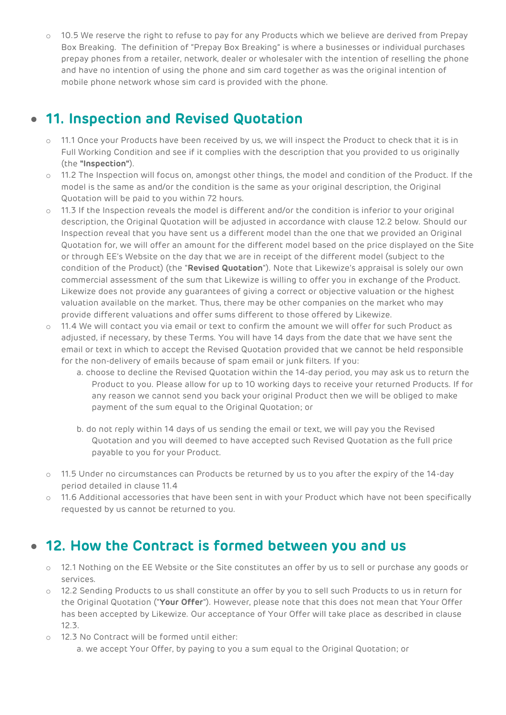$\circ$  10.5 We reserve the right to refuse to pay for any Products which we believe are derived from Prepay Box Breaking. The definition of "Prepay Box Breaking" is where a businesses or individual purchases prepay phones from a retailer, network, dealer or wholesaler with the intention of reselling the phone and have no intention of using the phone and sim card together as was the original intention of mobile phone network whose sim card is provided with the phone.

## • **11. Inspection and Revised Quotation**

- o 11.1 Once your Products have been received by us, we will inspect the Product to check that it is in Full Working Condition and see if it complies with the description that you provided to us originally (the **"Inspection"**).
- o 11.2 The Inspection will focus on, amongst other things, the model and condition of the Product. If the model is the same as and/or the condition is the same as your original description, the Original Quotation will be paid to you within 72 hours.
- o 11.3 If the Inspection reveals the model is different and/or the condition is inferior to your original description, the Original Quotation will be adjusted in accordance with clause 12.2 below. Should our Inspection reveal that you have sent us a different model than the one that we provided an Original Quotation for, we will offer an amount for the different model based on the price displayed on the Site or through EE's Website on the day that we are in receipt of the different model (subject to the condition of the Product) (the "**Revised Quotation**"). Note that Likewize's appraisal is solely our own commercial assessment of the sum that Likewize is willing to offer you in exchange of the Product. Likewize does not provide any guarantees of giving a correct or objective valuation or the highest valuation available on the market. Thus, there may be other companies on the market who may provide different valuations and offer sums different to those offered by Likewize.
- o 11.4 We will contact you via email or text to confirm the amount we will offer for such Product as adjusted, if necessary, by these Terms. You will have 14 days from the date that we have sent the email or text in which to accept the Revised Quotation provided that we cannot be held responsible for the non-delivery of emails because of spam email or junk filters. If you:
	- a. choose to decline the Revised Quotation within the 14-day period, you may ask us to return the Product to you. Please allow for up to 10 working days to receive your returned Products. If for any reason we cannot send you back your original Product then we will be obliged to make payment of the sum equal to the Original Quotation; or
	- b. do not reply within 14 days of us sending the email or text, we will pay you the Revised Quotation and you will deemed to have accepted such Revised Quotation as the full price payable to you for your Product.
- o 11.5 Under no circumstances can Products be returned by us to you after the expiry of the 14-day period detailed in clause 11.4
- o 11.6 Additional accessories that have been sent in with your Product which have not been specifically requested by us cannot be returned to you.

## • **12. How the Contract is formed between you and us**

- o 12.1 Nothing on the EE Website or the Site constitutes an offer by us to sell or purchase any goods or services.
- o 12.2 Sending Products to us shall constitute an offer by you to sell such Products to us in return for the Original Quotation ("**Your Offer**"). However, please note that this does not mean that Your Offer has been accepted by Likewize. Our acceptance of Your Offer will take place as described in clause 12.3.
- o 12.3 No Contract will be formed until either:

a. we accept Your Offer, by paying to you a sum equal to the Original Quotation; or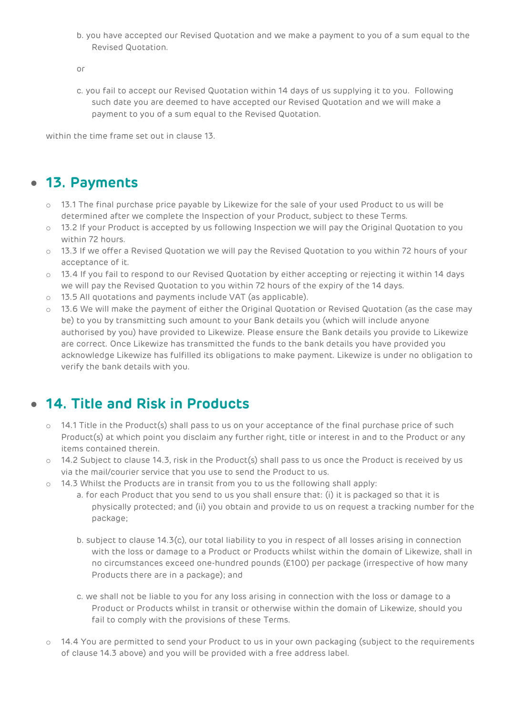b. you have accepted our Revised Quotation and we make a payment to you of a sum equal to the Revised Quotation.

or

c. you fail to accept our Revised Quotation within 14 days of us supplying it to you. Following such date you are deemed to have accepted our Revised Quotation and we will make a payment to you of a sum equal to the Revised Quotation.

within the time frame set out in clause 13.

### • **13. Payments**

- $\circ$  13.1 The final purchase price payable by Likewize for the sale of your used Product to us will be determined after we complete the Inspection of your Product, subject to these Terms.
- o 13.2 If your Product is accepted by us following Inspection we will pay the Original Quotation to you within 72 hours.
- o 13.3 If we offer a Revised Quotation we will pay the Revised Quotation to you within 72 hours of your acceptance of it.
- o 13.4 If you fail to respond to our Revised Quotation by either accepting or rejecting it within 14 days we will pay the Revised Quotation to you within 72 hours of the expiry of the 14 days.
- o 13.5 All quotations and payments include VAT (as applicable).
- 13.6 We will make the payment of either the Original Quotation or Revised Quotation (as the case may be) to you by transmitting such amount to your Bank details you (which will include anyone authorised by you) have provided to Likewize. Please ensure the Bank details you provide to Likewize are correct. Once Likewize has transmitted the funds to the bank details you have provided you acknowledge Likewize has fulfilled its obligations to make payment. Likewize is under no obligation to verify the bank details with you.

## • **14. Title and Risk in Products**

- o 14.1 Title in the Product(s) shall pass to us on your acceptance of the final purchase price of such Product(s) at which point you disclaim any further right, title or interest in and to the Product or any items contained therein.
- $\circ$  14.2 Subject to clause 14.3, risk in the Product(s) shall pass to us once the Product is received by us via the mail/courier service that you use to send the Product to us.
- 14.3 Whilst the Products are in transit from you to us the following shall apply:
	- a. for each Product that you send to us you shall ensure that: (i) it is packaged so that it is physically protected; and (ii) you obtain and provide to us on request a tracking number for the package;
	- b. subject to clause 14.3(c), our total liability to you in respect of all losses arising in connection with the loss or damage to a Product or Products whilst within the domain of Likewize, shall in no circumstances exceed one-hundred pounds (£100) per package (irrespective of how many Products there are in a package); and
	- c. we shall not be liable to you for any loss arising in connection with the loss or damage to a Product or Products whilst in transit or otherwise within the domain of Likewize, should you fail to comply with the provisions of these Terms.
- 14.4 You are permitted to send your Product to us in your own packaging (subject to the requirements of clause 14.3 above) and you will be provided with a free address label.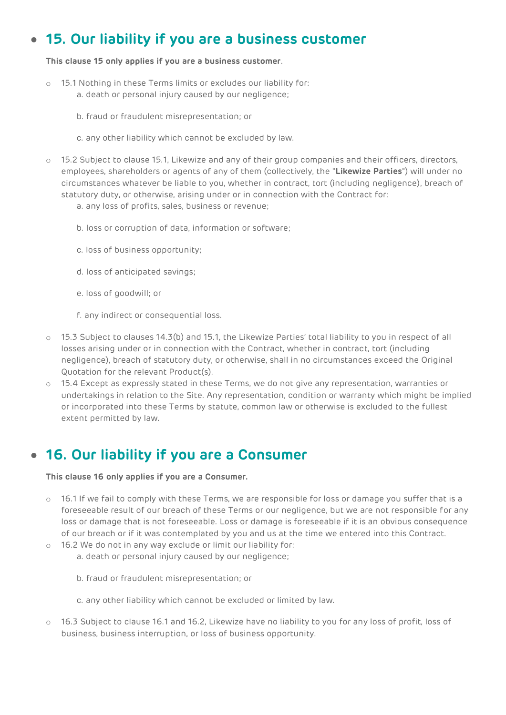## • **15. Our liability if you are a business customer**

#### **This clause 15 only applies if you are a business customer**.

- 15.1 Nothing in these Terms limits or excludes our liability for: a. death or personal injury caused by our negligence;
	- b. fraud or fraudulent misrepresentation; or
	- c. any other liability which cannot be excluded by law.
- o 15.2 Subject to clause 15.1, Likewize and any of their group companies and their officers, directors, employees, shareholders or agents of any of them (collectively, the "**Likewize Parties**") will under no circumstances whatever be liable to you, whether in contract, tort (including negligence), breach of statutory duty, or otherwise, arising under or in connection with the Contract for:
	- a. any loss of profits, sales, business or revenue;
	- b. loss or corruption of data, information or software;
	- c. loss of business opportunity;
	- d. loss of anticipated savings;
	- e. loss of goodwill; or
	- f. any indirect or consequential loss.
- o 15.3 Subject to clauses 14.3(b) and 15.1, the Likewize Parties' total liability to you in respect of all losses arising under or in connection with the Contract, whether in contract, tort (including negligence), breach of statutory duty, or otherwise, shall in no circumstances exceed the Original Quotation for the relevant Product(s).
- o 15.4 Except as expressly stated in these Terms, we do not give any representation, warranties or undertakings in relation to the Site. Any representation, condition or warranty which might be implied or incorporated into these Terms by statute, common law or otherwise is excluded to the fullest extent permitted by law.

### • **16. Our liability if you are a Consumer**

#### **This clause 16 only applies if you are a Consumer.**

- $\circ$  16.1 If we fail to comply with these Terms, we are responsible for loss or damage you suffer that is a foreseeable result of our breach of these Terms or our negligence, but we are not responsible for any loss or damage that is not foreseeable. Loss or damage is foreseeable if it is an obvious consequence of our breach or if it was contemplated by you and us at the time we entered into this Contract.
- o 16.2 We do not in any way exclude or limit our liability for:
	- a. death or personal injury caused by our negligence;
	- b. fraud or fraudulent misrepresentation; or
	- c. any other liability which cannot be excluded or limited by law.
- 16.3 Subject to clause 16.1 and 16.2, Likewize have no liability to you for any loss of profit, loss of business, business interruption, or loss of business opportunity.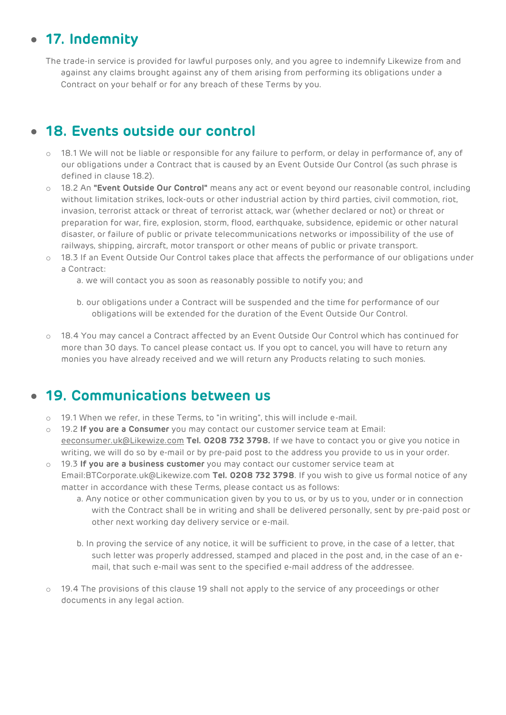## • **17. Indemnity**

The trade-in service is provided for lawful purposes only, and you agree to indemnify Likewize from and against any claims brought against any of them arising from performing its obligations under a Contract on your behalf or for any breach of these Terms by you.

## • **18. Events outside our control**

- o 18.1 We will not be liable or responsible for any failure to perform, or delay in performance of, any of our obligations under a Contract that is caused by an Event Outside Our Control (as such phrase is defined in clause 18.2).
- o 18.2 An **"Event Outside Our Control"** means any act or event beyond our reasonable control, including without limitation strikes, lock-outs or other industrial action by third parties, civil commotion, riot, invasion, terrorist attack or threat of terrorist attack, war (whether declared or not) or threat or preparation for war, fire, explosion, storm, flood, earthquake, subsidence, epidemic or other natural disaster, or failure of public or private telecommunications networks or impossibility of the use of railways, shipping, aircraft, motor transport or other means of public or private transport.
- o 18.3 If an Event Outside Our Control takes place that affects the performance of our obligations under a Contract:
	- a. we will contact you as soon as reasonably possible to notify you; and
	- b. our obligations under a Contract will be suspended and the time for performance of our obligations will be extended for the duration of the Event Outside Our Control.
- 18.4 You may cancel a Contract affected by an Event Outside Our Control which has continued for more than 30 days. To cancel please contact us. If you opt to cancel, you will have to return any monies you have already received and we will return any Products relating to such monies.

## • **19. Communications between us**

- $\circ$  19.1 When we refer, in these Terms, to "in writing", this will include e-mail.
- o 19.2 **If you are a Consumer** you may contact our customer service team at Email: [eeconsumer.uk@Likewize.com](mailto:eeconsumer.uk@brightstar.com) **Tel. 0208 732 3798.** If we have to contact you or give you notice in writing, we will do so by e-mail or by pre-paid post to the address you provide to us in your order.
- o 19.3 **If you are a business customer** you may contact our customer service team at Email:BTCorporate.uk@Likewize.com **Tel. 0208 732 3798**. If you wish to give us formal notice of any matter in accordance with these Terms, please contact us as follows:
	- a. Any notice or other communication given by you to us, or by us to you, under or in connection with the Contract shall be in writing and shall be delivered personally, sent by pre-paid post or other next working day delivery service or e-mail.
	- b. In proving the service of any notice, it will be sufficient to prove, in the case of a letter, that such letter was properly addressed, stamped and placed in the post and, in the case of an email, that such e-mail was sent to the specified e-mail address of the addressee.
- 19.4 The provisions of this clause 19 shall not apply to the service of any proceedings or other documents in any legal action.